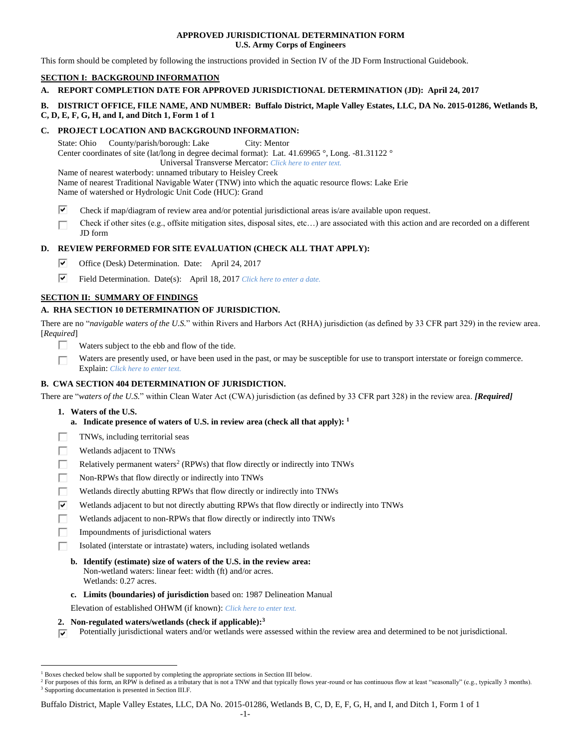# **APPROVED JURISDICTIONAL DETERMINATION FORM U.S. Army Corps of Engineers**

This form should be completed by following the instructions provided in Section IV of the JD Form Instructional Guidebook.

# **SECTION I: BACKGROUND INFORMATION**

# **A. REPORT COMPLETION DATE FOR APPROVED JURISDICTIONAL DETERMINATION (JD): April 24, 2017**

# **B. DISTRICT OFFICE, FILE NAME, AND NUMBER: Buffalo District, Maple Valley Estates, LLC, DA No. 2015-01286, Wetlands B, C, D, E, F, G, H, and I, and Ditch 1, Form 1 of 1**

#### **C. PROJECT LOCATION AND BACKGROUND INFORMATION:**

State: Ohio County/parish/borough: Lake City: Mentor Center coordinates of site (lat/long in degree decimal format): Lat. 41.69965 °, Long. -81.31122 ° Universal Transverse Mercator: *Click here to enter text.*

Name of nearest waterbody: unnamed tributary to Heisley Creek

Name of nearest Traditional Navigable Water (TNW) into which the aquatic resource flows: Lake Erie Name of watershed or Hydrologic Unit Code (HUC): Grand

- ☞ Check if map/diagram of review area and/or potential jurisdictional areas is/are available upon request.
- Check if other sites (e.g., offsite mitigation sites, disposal sites, etc…) are associated with this action and are recorded on a different JD form

# **D. REVIEW PERFORMED FOR SITE EVALUATION (CHECK ALL THAT APPLY):**

- ⊽ Office (Desk) Determination. Date: April 24, 2017
- ⊽⊦ Field Determination. Date(s): April 18, 2017 *Click here to enter a date.*

# **SECTION II: SUMMARY OF FINDINGS**

# **A. RHA SECTION 10 DETERMINATION OF JURISDICTION.**

There are no "*navigable waters of the U.S.*" within Rivers and Harbors Act (RHA) jurisdiction (as defined by 33 CFR part 329) in the review area. [*Required*]

- $\Box$ Waters subject to the ebb and flow of the tide.
- Waters are presently used, or have been used in the past, or may be susceptible for use to transport interstate or foreign commerce. г Explain: *Click here to enter text.*

# **B. CWA SECTION 404 DETERMINATION OF JURISDICTION.**

There are "*waters of the U.S.*" within Clean Water Act (CWA) jurisdiction (as defined by 33 CFR part 328) in the review area. *[Required]*

**1. Waters of the U.S.**

 $\overline{a}$ 

- **a. Indicate presence of waters of U.S. in review area (check all that apply): 1**
- TNWs, including territorial seas
- г Wetlands adjacent to TNWs
- П Relatively permanent waters<sup>2</sup> (RPWs) that flow directly or indirectly into TNWs
- П Non-RPWs that flow directly or indirectly into TNWs
- г Wetlands directly abutting RPWs that flow directly or indirectly into TNWs
- ঢ Wetlands adjacent to but not directly abutting RPWs that flow directly or indirectly into TNWs
- П Wetlands adjacent to non-RPWs that flow directly or indirectly into TNWs
- П Impoundments of jurisdictional waters
	- Isolated (interstate or intrastate) waters, including isolated wetlands
	- **b. Identify (estimate) size of waters of the U.S. in the review area:** Non-wetland waters: linear feet: width (ft) and/or acres. Wetlands: 0.27 acres.
	- **c. Limits (boundaries) of jurisdiction** based on: 1987 Delineation Manual
	- Elevation of established OHWM (if known): *Click here to enter text.*
- **2. Non-regulated waters/wetlands (check if applicable): 3**
- Potentially jurisdictional waters and/or wetlands were assessed within the review area and determined to be not jurisdictional.  $\overline{u}$

Buffalo District, Maple Valley Estates, LLC, DA No. 2015-01286, Wetlands B, C, D, E, F, G, H, and I, and Ditch 1, Form 1 of 1

 $<sup>1</sup>$  Boxes checked below shall be supported by completing the appropriate sections in Section III below.</sup>

<sup>&</sup>lt;sup>2</sup> For purposes of this form, an RPW is defined as a tributary that is not a TNW and that typically flows year-round or has continuous flow at least "seasonally" (e.g., typically 3 months). <sup>3</sup> Supporting documentation is presented in Section III.F.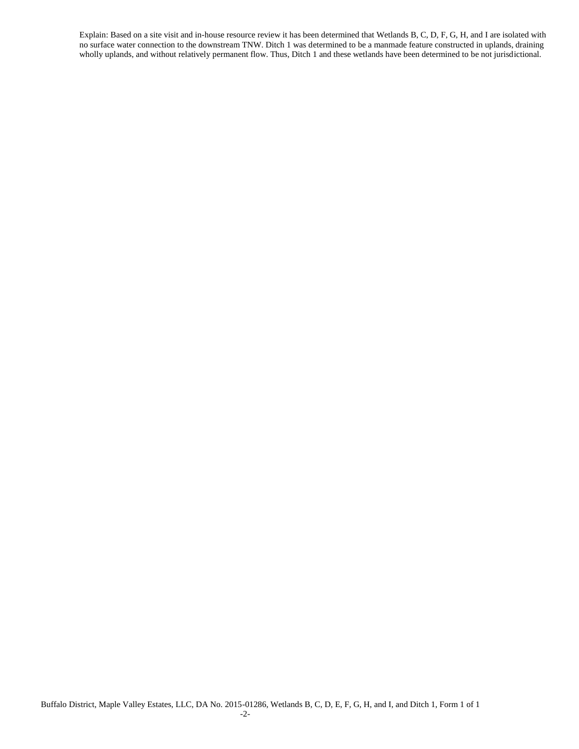Explain: Based on a site visit and in-house resource review it has been determined that Wetlands B, C, D, F, G, H, and I are isolated with no surface water connection to the downstream TNW. Ditch 1 was determined to be a manmade feature constructed in uplands, draining wholly uplands, and without relatively permanent flow. Thus, Ditch 1 and these wetlands have been determined to be not jurisdictional.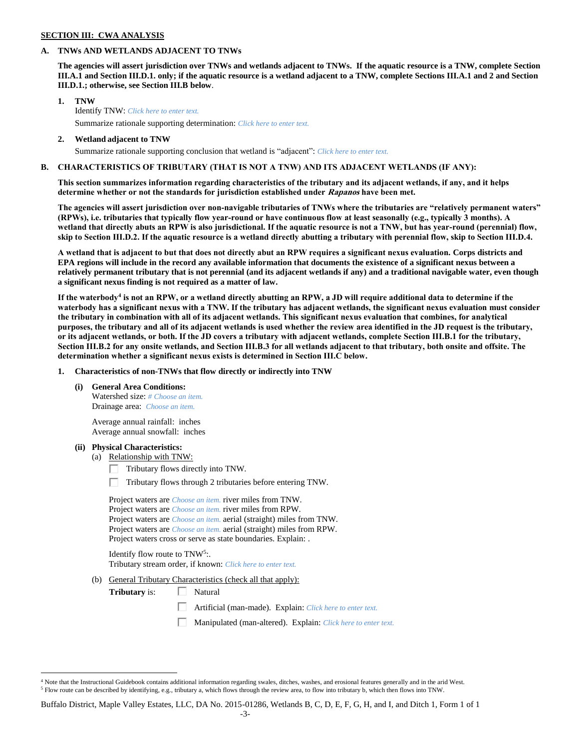#### **SECTION III: CWA ANALYSIS**

#### **A. TNWs AND WETLANDS ADJACENT TO TNWs**

**The agencies will assert jurisdiction over TNWs and wetlands adjacent to TNWs. If the aquatic resource is a TNW, complete Section III.A.1 and Section III.D.1. only; if the aquatic resource is a wetland adjacent to a TNW, complete Sections III.A.1 and 2 and Section III.D.1.; otherwise, see Section III.B below**.

- **1. TNW**  Identify TNW: *Click here to enter text.* Summarize rationale supporting determination: *Click here to enter text.*
- **2. Wetland adjacent to TNW** Summarize rationale supporting conclusion that wetland is "adjacent": *Click here to enter text.*

# **B. CHARACTERISTICS OF TRIBUTARY (THAT IS NOT A TNW) AND ITS ADJACENT WETLANDS (IF ANY):**

**This section summarizes information regarding characteristics of the tributary and its adjacent wetlands, if any, and it helps determine whether or not the standards for jurisdiction established under Rapanos have been met.** 

**The agencies will assert jurisdiction over non-navigable tributaries of TNWs where the tributaries are "relatively permanent waters" (RPWs), i.e. tributaries that typically flow year-round or have continuous flow at least seasonally (e.g., typically 3 months). A wetland that directly abuts an RPW is also jurisdictional. If the aquatic resource is not a TNW, but has year-round (perennial) flow, skip to Section III.D.2. If the aquatic resource is a wetland directly abutting a tributary with perennial flow, skip to Section III.D.4.**

**A wetland that is adjacent to but that does not directly abut an RPW requires a significant nexus evaluation. Corps districts and EPA regions will include in the record any available information that documents the existence of a significant nexus between a relatively permanent tributary that is not perennial (and its adjacent wetlands if any) and a traditional navigable water, even though a significant nexus finding is not required as a matter of law.**

**If the waterbody<sup>4</sup> is not an RPW, or a wetland directly abutting an RPW, a JD will require additional data to determine if the waterbody has a significant nexus with a TNW. If the tributary has adjacent wetlands, the significant nexus evaluation must consider the tributary in combination with all of its adjacent wetlands. This significant nexus evaluation that combines, for analytical purposes, the tributary and all of its adjacent wetlands is used whether the review area identified in the JD request is the tributary, or its adjacent wetlands, or both. If the JD covers a tributary with adjacent wetlands, complete Section III.B.1 for the tributary, Section III.B.2 for any onsite wetlands, and Section III.B.3 for all wetlands adjacent to that tributary, both onsite and offsite. The determination whether a significant nexus exists is determined in Section III.C below.**

**1. Characteristics of non-TNWs that flow directly or indirectly into TNW**

**(i) General Area Conditions:**

Watershed size: *# Choose an item.* Drainage area: *Choose an item.*

Average annual rainfall: inches Average annual snowfall: inches

#### **(ii) Physical Characteristics:**

 $\overline{a}$ 

- (a) Relationship with TNW:
	- $\Box$  Tributary flows directly into TNW.
	- $\Box$  Tributary flows through 2 tributaries before entering TNW.

|  | Project waters are <i>Choose an item</i> , river miles from TNW.            |
|--|-----------------------------------------------------------------------------|
|  | Project waters are <i>Choose an item.</i> river miles from RPW.             |
|  | Project waters are <i>Choose an item.</i> aerial (straight) miles from TNW. |
|  | Project waters are <i>Choose an item.</i> aerial (straight) miles from RPW. |
|  | Project waters cross or serve as state boundaries. Explain:                 |

Identify flow route to TNW<sup>5</sup>:. Tributary stream order, if known: *Click here to enter text.*

(b) General Tributary Characteristics (check all that apply):

**Tributary** is:  $\Box$  Natural

- Artificial (man-made). Explain: *Click here to enter text.*
- Manipulated (man-altered). Explain: *Click here to enter text.*

 $4$  Note that the Instructional Guidebook contains additional information regarding swales, ditches, washes, and erosional features generally and in the arid West. <sup>5</sup> Flow route can be described by identifying, e.g., tributary a, which flows through the review area, to flow into tributary b, which then flows into TNW.

Buffalo District, Maple Valley Estates, LLC, DA No. 2015-01286, Wetlands B, C, D, E, F, G, H, and I, and Ditch 1, Form 1 of 1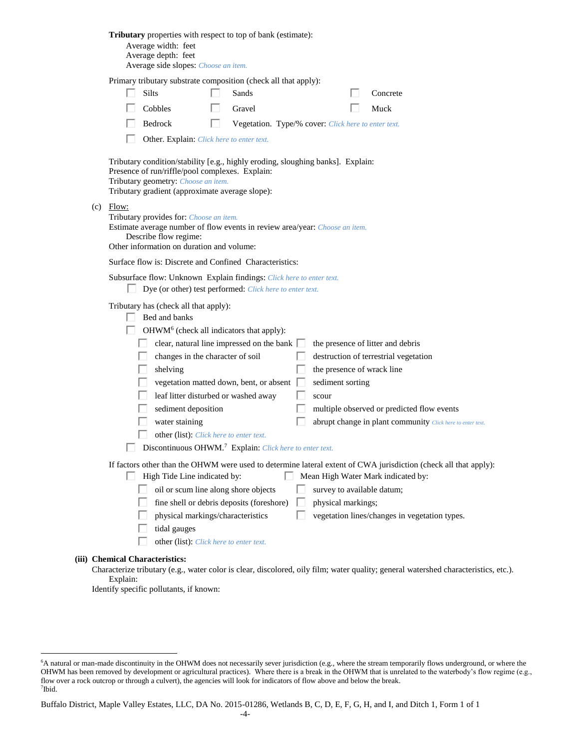|                                                                                                                                                                                                             |                                 | <b>Tributary</b> properties with respect to top of bank (estimate):<br>Average width: feet<br>Average depth: feet<br>Average side slopes: Choose an item.                                                                                                                                                                                                         |   |                                                                                                       |    |                                                         |  |                                                                                                                                                                                                         |
|-------------------------------------------------------------------------------------------------------------------------------------------------------------------------------------------------------------|---------------------------------|-------------------------------------------------------------------------------------------------------------------------------------------------------------------------------------------------------------------------------------------------------------------------------------------------------------------------------------------------------------------|---|-------------------------------------------------------------------------------------------------------|----|---------------------------------------------------------|--|---------------------------------------------------------------------------------------------------------------------------------------------------------------------------------------------------------|
|                                                                                                                                                                                                             |                                 | Primary tributary substrate composition (check all that apply):<br>Silts                                                                                                                                                                                                                                                                                          |   | Sands                                                                                                 |    |                                                         |  | Concrete                                                                                                                                                                                                |
|                                                                                                                                                                                                             |                                 | Cobbles                                                                                                                                                                                                                                                                                                                                                           |   | Gravel                                                                                                |    |                                                         |  | Muck                                                                                                                                                                                                    |
|                                                                                                                                                                                                             |                                 | Bedrock                                                                                                                                                                                                                                                                                                                                                           | ш | Vegetation. Type/% cover: Click here to enter text.                                                   |    |                                                         |  |                                                                                                                                                                                                         |
|                                                                                                                                                                                                             |                                 | Other. Explain: Click here to enter text.                                                                                                                                                                                                                                                                                                                         |   |                                                                                                       |    |                                                         |  |                                                                                                                                                                                                         |
|                                                                                                                                                                                                             |                                 | Tributary condition/stability [e.g., highly eroding, sloughing banks]. Explain:<br>Presence of run/riffle/pool complexes. Explain:<br>Tributary geometry: Choose an item.<br>Tributary gradient (approximate average slope):                                                                                                                                      |   |                                                                                                       |    |                                                         |  |                                                                                                                                                                                                         |
| $(c)$ Flow:<br>Tributary provides for: Choose an item.<br>Estimate average number of flow events in review area/year: Choose an item.<br>Describe flow regime:<br>Other information on duration and volume: |                                 |                                                                                                                                                                                                                                                                                                                                                                   |   |                                                                                                       |    |                                                         |  |                                                                                                                                                                                                         |
|                                                                                                                                                                                                             |                                 | Surface flow is: Discrete and Confined Characteristics:                                                                                                                                                                                                                                                                                                           |   |                                                                                                       |    |                                                         |  |                                                                                                                                                                                                         |
| Subsurface flow: Unknown Explain findings: Click here to enter text.<br>$\Box$ Dye (or other) test performed: <i>Click here to enter text.</i>                                                              |                                 |                                                                                                                                                                                                                                                                                                                                                                   |   |                                                                                                       |    |                                                         |  |                                                                                                                                                                                                         |
|                                                                                                                                                                                                             |                                 | Tributary has (check all that apply):<br>Bed and banks<br>OHWM <sup>6</sup> (check all indicators that apply):<br>changes in the character of soil<br>shelving<br>leaf litter disturbed or washed away<br>sediment deposition<br>water staining<br>other (list): Click here to enter text.<br>Discontinuous OHWM. <sup>7</sup> Explain: Click here to enter text. |   | clear, natural line impressed on the bank $\square$<br>vegetation matted down, bent, or absent $\Box$ |    | the presence of wrack line<br>sediment sorting<br>scour |  | the presence of litter and debris<br>destruction of terrestrial vegetation<br>multiple observed or predicted flow events<br>abrupt change in plant community Click here to enter text.                  |
|                                                                                                                                                                                                             |                                 | High Tide Line indicated by:<br>oil or scum line along shore objects<br>physical markings/characteristics<br>tidal gauges<br>other (list): Click here to enter text.                                                                                                                                                                                              |   | fine shell or debris deposits (foreshore)                                                             | LΙ | survey to available datum;<br>physical markings;        |  | If factors other than the OHWM were used to determine lateral extent of CWA jurisdiction (check all that apply):<br>Mean High Water Mark indicated by:<br>vegetation lines/changes in vegetation types. |
|                                                                                                                                                                                                             | (iii) Chemical Characteristics: |                                                                                                                                                                                                                                                                                                                                                                   |   |                                                                                                       |    |                                                         |  |                                                                                                                                                                                                         |
|                                                                                                                                                                                                             |                                 |                                                                                                                                                                                                                                                                                                                                                                   |   |                                                                                                       |    |                                                         |  | Characterize tributary (e.g., water color is clear, discolored, oily film; water quality; general watershed characteristics, etc.).                                                                     |

Explain: Identify specific pollutants, if known:

 $\overline{a}$ 

<sup>6</sup>A natural or man-made discontinuity in the OHWM does not necessarily sever jurisdiction (e.g., where the stream temporarily flows underground, or where the OHWM has been removed by development or agricultural practices). Where there is a break in the OHWM that is unrelated to the waterbody's flow regime (e.g., flow over a rock outcrop or through a culvert), the agencies will look for indicators of flow above and below the break. 7 Ibid.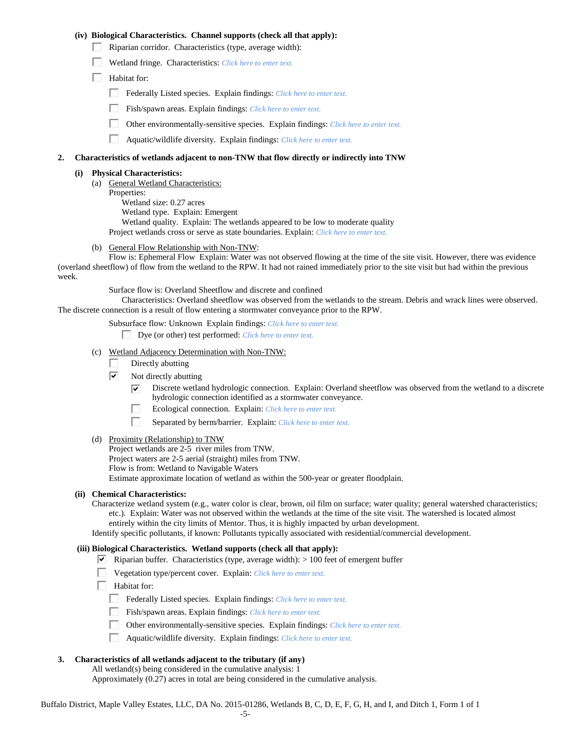#### **(iv) Biological Characteristics. Channel supports (check all that apply):**

- $\Box$  Riparian corridor. Characteristics (type, average width):
- Wetland fringe. Characteristics: *Click here to enter text.*
- $\Box$  Habitat for:
	- Federally Listed species. Explain findings: *Click here to enter text.*
	- Fish/spawn areas. Explain findings: *Click here to enter text.*
	- $\Box$ Other environmentally-sensitive species. Explain findings: *Click here to enter text.*
	- П. Aquatic/wildlife diversity. Explain findings: *Click here to enter text.*

# **2. Characteristics of wetlands adjacent to non-TNW that flow directly or indirectly into TNW**

#### **(i) Physical Characteristics:**

(a) General Wetland Characteristics: Properties: Wetland size: 0.27 acres Wetland type. Explain: Emergent Wetland quality. Explain: The wetlands appeared to be low to moderate quality Project wetlands cross or serve as state boundaries. Explain: *Click here to enter text.*

General Flow Relationship with Non-TNW:

Flow is: Ephemeral Flow Explain: Water was not observed flowing at the time of the site visit. However, there was evidence (overland sheetflow) of flow from the wetland to the RPW. It had not rained immediately prior to the site visit but had within the previous week.

Surface flow is: Overland Sheetflow and discrete and confined

Characteristics: Overland sheetflow was observed from the wetlands to the stream. Debris and wrack lines were observed. The discrete connection is a result of flow entering a stormwater conveyance prior to the RPW.

Subsurface flow: Unknown Explain findings: *Click here to enter text.*

Dye (or other) test performed: *Click here to enter text.*

- (c) Wetland Adjacency Determination with Non-TNW:
	- Directly abutting
	- ⊽ Not directly abutting
		- ⊽ Discrete wetland hydrologic connection. Explain: Overland sheetflow was observed from the wetland to a discrete hydrologic connection identified as a stormwater conveyance.
		- п Ecological connection. Explain: *Click here to enter text.*
		- п Separated by berm/barrier. Explain: *Click here to enter text.*
- (d) Proximity (Relationship) to TNW

Project wetlands are 2-5 river miles from TNW. Project waters are 2-5 aerial (straight) miles from TNW. Flow is from: Wetland to Navigable Waters Estimate approximate location of wetland as within the 500-year or greater floodplain.

#### **(ii) Chemical Characteristics:**

Characterize wetland system (e.g., water color is clear, brown, oil film on surface; water quality; general watershed characteristics; etc.). Explain: Water was not observed within the wetlands at the time of the site visit. The watershed is located almost entirely within the city limits of Mentor. Thus, it is highly impacted by urban development.

Identify specific pollutants, if known: Pollutants typically associated with residential/commercial development.

#### **(iii) Biological Characteristics. Wetland supports (check all that apply):**

Riparian buffer. Characteristics (type, average width):  $> 100$  feet of emergent buffer

- Vegetation type/percent cover. Explain: *Click here to enter text.*
- $\Box$  Habitat for:
	- Federally Listed species. Explain findings: *Click here to enter text.*
	- П. Fish/spawn areas. Explain findings: *Click here to enter text.*
		- Other environmentally-sensitive species. Explain findings: *Click here to enter text.*
	- П. Aquatic/wildlife diversity. Explain findings: *Click here to enter text.*

# **3. Characteristics of all wetlands adjacent to the tributary (if any)**

All wetland(s) being considered in the cumulative analysis: 1

Approximately (0.27) acres in total are being considered in the cumulative analysis.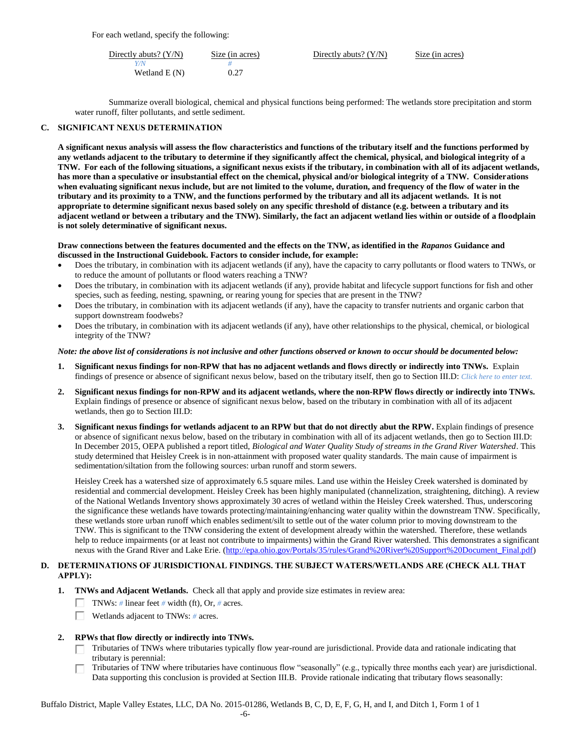For each wetland, specify the following:

| Directly abuts? $(Y/N)$ | Size (in acres) | Directly abuts? $(Y/N)$ | Size (in acres) |
|-------------------------|-----------------|-------------------------|-----------------|
| Y/N                     |                 |                         |                 |
| Wetland $E(N)$          | 0.27            |                         |                 |

Summarize overall biological, chemical and physical functions being performed: The wetlands store precipitation and storm water runoff, filter pollutants, and settle sediment.

# **C. SIGNIFICANT NEXUS DETERMINATION**

**A significant nexus analysis will assess the flow characteristics and functions of the tributary itself and the functions performed by any wetlands adjacent to the tributary to determine if they significantly affect the chemical, physical, and biological integrity of a TNW. For each of the following situations, a significant nexus exists if the tributary, in combination with all of its adjacent wetlands, has more than a speculative or insubstantial effect on the chemical, physical and/or biological integrity of a TNW. Considerations when evaluating significant nexus include, but are not limited to the volume, duration, and frequency of the flow of water in the tributary and its proximity to a TNW, and the functions performed by the tributary and all its adjacent wetlands. It is not appropriate to determine significant nexus based solely on any specific threshold of distance (e.g. between a tributary and its adjacent wetland or between a tributary and the TNW). Similarly, the fact an adjacent wetland lies within or outside of a floodplain is not solely determinative of significant nexus.** 

# **Draw connections between the features documented and the effects on the TNW, as identified in the** *Rapanos* **Guidance and discussed in the Instructional Guidebook. Factors to consider include, for example:**

- Does the tributary, in combination with its adjacent wetlands (if any), have the capacity to carry pollutants or flood waters to TNWs, or to reduce the amount of pollutants or flood waters reaching a TNW?
- Does the tributary, in combination with its adjacent wetlands (if any), provide habitat and lifecycle support functions for fish and other species, such as feeding, nesting, spawning, or rearing young for species that are present in the TNW?
- Does the tributary, in combination with its adjacent wetlands (if any), have the capacity to transfer nutrients and organic carbon that support downstream foodwebs?
- Does the tributary, in combination with its adjacent wetlands (if any), have other relationships to the physical, chemical, or biological integrity of the TNW?

# *Note: the above list of considerations is not inclusive and other functions observed or known to occur should be documented below:*

- **1. Significant nexus findings for non-RPW that has no adjacent wetlands and flows directly or indirectly into TNWs.** Explain findings of presence or absence of significant nexus below, based on the tributary itself, then go to Section III.D: *Click here to enter text.*
- **2. Significant nexus findings for non-RPW and its adjacent wetlands, where the non-RPW flows directly or indirectly into TNWs.**  Explain findings of presence or absence of significant nexus below, based on the tributary in combination with all of its adjacent wetlands, then go to Section III.D:
- **3. Significant nexus findings for wetlands adjacent to an RPW but that do not directly abut the RPW.** Explain findings of presence or absence of significant nexus below, based on the tributary in combination with all of its adjacent wetlands, then go to Section III.D: In December 2015, OEPA published a report titled, *Biological and Water Quality Study of streams in the Grand River Watershed*. This study determined that Heisley Creek is in non-attainment with proposed water quality standards. The main cause of impairment is sedimentation/siltation from the following sources: urban runoff and storm sewers.

Heisley Creek has a watershed size of approximately 6.5 square miles. Land use within the Heisley Creek watershed is dominated by residential and commercial development. Heisley Creek has been highly manipulated (channelization, straightening, ditching). A review of the National Wetlands Inventory shows approximately 30 acres of wetland within the Heisley Creek watershed. Thus, underscoring the significance these wetlands have towards protecting/maintaining/enhancing water quality within the downstream TNW. Specifically, these wetlands store urban runoff which enables sediment/silt to settle out of the water column prior to moving downstream to the TNW. This is significant to the TNW considering the extent of development already within the watershed. Therefore, these wetlands help to reduce impairments (or at least not contribute to impairments) within the Grand River watershed. This demonstrates a significant nexus with the Grand River and Lake Erie. [\(http://epa.ohio.gov/Portals/35/rules/Grand%20River%20Support%20Document\\_Final.pdf\)](http://epa.ohio.gov/Portals/35/rules/Grand%20River%20Support%20Document_Final.pdf)

# **D. DETERMINATIONS OF JURISDICTIONAL FINDINGS. THE SUBJECT WATERS/WETLANDS ARE (CHECK ALL THAT APPLY):**

- **1. TNWs and Adjacent Wetlands.** Check all that apply and provide size estimates in review area:
	- TNWs: # linear feet # width (ft), Or, # acres.
	- Wetlands adjacent to TNWs: *#* acres.
- **2. RPWs that flow directly or indirectly into TNWs.**
	- Tributaries of TNWs where tributaries typically flow year-round are jurisdictional. Provide data and rationale indicating that tributary is perennial:
	- Tributaries of TNW where tributaries have continuous flow "seasonally" (e.g., typically three months each year) are jurisdictional. П. Data supporting this conclusion is provided at Section III.B. Provide rationale indicating that tributary flows seasonally:

Buffalo District, Maple Valley Estates, LLC, DA No. 2015-01286, Wetlands B, C, D, E, F, G, H, and I, and Ditch 1, Form 1 of 1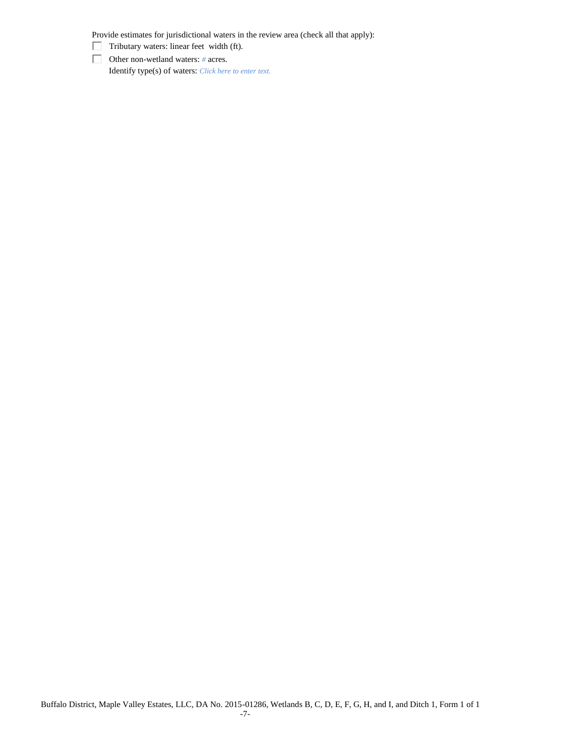Provide estimates for jurisdictional waters in the review area (check all that apply):

- $\Box$  Tributary waters: linear feet width (ft).
- Other non-wetland waters: *#* acres. Identify type(s) of waters: *Click here to enter text.*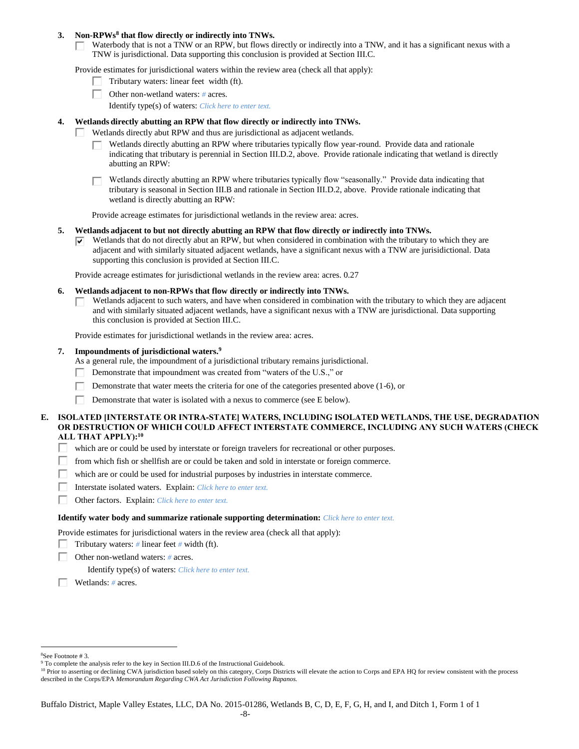#### **3. Non-RPWs<sup>8</sup> that flow directly or indirectly into TNWs.**

Waterbody that is not a TNW or an RPW, but flows directly or indirectly into a TNW, and it has a significant nexus with a Г. TNW is jurisdictional. Data supporting this conclusion is provided at Section III.C.

Provide estimates for jurisdictional waters within the review area (check all that apply):

- Tributary waters: linear feet width (ft).  $\mathbf{I}$
- Other non-wetland waters: *#* acres.
	- Identify type(s) of waters: *Click here to enter text.*

# **4. Wetlands directly abutting an RPW that flow directly or indirectly into TNWs.**

- п Wetlands directly abut RPW and thus are jurisdictional as adjacent wetlands.
	- Wetlands directly abutting an RPW where tributaries typically flow year-round. Provide data and rationale indicating that tributary is perennial in Section III.D.2, above. Provide rationale indicating that wetland is directly abutting an RPW:

Wetlands directly abutting an RPW where tributaries typically flow "seasonally." Provide data indicating that tributary is seasonal in Section III.B and rationale in Section III.D.2, above. Provide rationale indicating that wetland is directly abutting an RPW:

Provide acreage estimates for jurisdictional wetlands in the review area: acres.

#### **5. Wetlands adjacent to but not directly abutting an RPW that flow directly or indirectly into TNWs.**

Wetlands that do not directly abut an RPW, but when considered in combination with the tributary to which they are ☞ adjacent and with similarly situated adjacent wetlands, have a significant nexus with a TNW are jurisidictional. Data supporting this conclusion is provided at Section III.C.

Provide acreage estimates for jurisdictional wetlands in the review area: acres. 0.27

- **6. Wetlands adjacent to non-RPWs that flow directly or indirectly into TNWs.** 
	- Wetlands adjacent to such waters, and have when considered in combination with the tributary to which they are adjacent П and with similarly situated adjacent wetlands, have a significant nexus with a TNW are jurisdictional. Data supporting this conclusion is provided at Section III.C.

Provide estimates for jurisdictional wetlands in the review area: acres.

#### **7. Impoundments of jurisdictional waters. 9**

As a general rule, the impoundment of a jurisdictional tributary remains jurisdictional.

- п Demonstrate that impoundment was created from "waters of the U.S.," or
- Demonstrate that water meets the criteria for one of the categories presented above (1-6), or
- Г Demonstrate that water is isolated with a nexus to commerce (see E below).

# **E. ISOLATED [INTERSTATE OR INTRA-STATE] WATERS, INCLUDING ISOLATED WETLANDS, THE USE, DEGRADATION OR DESTRUCTION OF WHICH COULD AFFECT INTERSTATE COMMERCE, INCLUDING ANY SUCH WATERS (CHECK ALL THAT APPLY):<sup>10</sup>**

- Π. which are or could be used by interstate or foreign travelers for recreational or other purposes.
- from which fish or shellfish are or could be taken and sold in interstate or foreign commerce. П.
- П which are or could be used for industrial purposes by industries in interstate commerce.
- П. Interstate isolated waters.Explain: *Click here to enter text.*
- П. Other factors.Explain: *Click here to enter text.*

#### **Identify water body and summarize rationale supporting determination:** *Click here to enter text.*

Provide estimates for jurisdictional waters in the review area (check all that apply):

- Tributary waters:  $\#$  linear feet  $\#$  width (ft).
- г Other non-wetland waters: *#* acres.

Identify type(s) of waters: *Click here to enter text.*

Wetlands: *#* acres.

 $\overline{a}$ <sup>8</sup>See Footnote # 3.

<sup>&</sup>lt;sup>9</sup> To complete the analysis refer to the key in Section III.D.6 of the Instructional Guidebook.

<sup>&</sup>lt;sup>10</sup> Prior to asserting or declining CWA jurisdiction based solely on this category, Corps Districts will elevate the action to Corps and EPA HQ for review consistent with the process described in the Corps/EPA *Memorandum Regarding CWA Act Jurisdiction Following Rapanos.*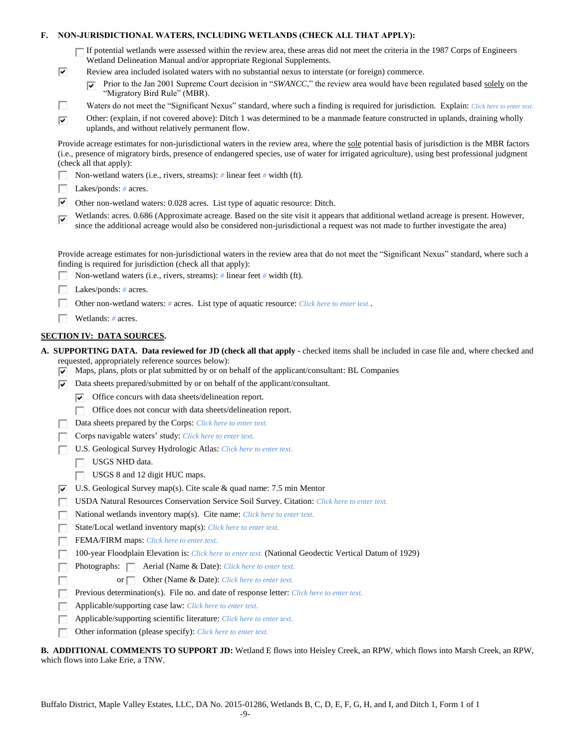# **F. NON-JURISDICTIONAL WATERS, INCLUDING WETLANDS (CHECK ALL THAT APPLY):**

If potential wetlands were assessed within the review area, these areas did not meet the criteria in the 1987 Corps of Engineers Wetland Delineation Manual and/or appropriate Regional Supplements.

- Review area included isolated waters with no substantial nexus to interstate (or foreign) commerce.
	- Prior to the Jan 2001 Supreme Court decision in "*SWANCC*," the review area would have been regulated based solely on the ⊽ "Migratory Bird Rule" (MBR).
- Е Waters do not meet the "Significant Nexus" standard, where such a finding is required for jurisdiction. Explain: *Click here to enter text.*
- Other: (explain, if not covered above): Ditch 1 was determined to be a manmade feature constructed in uplands, draining wholly  $\overline{\mathbf{v}}$ uplands, and without relatively permanent flow.

Provide acreage estimates for non-jurisdictional waters in the review area, where the sole potential basis of jurisdiction is the MBR factors (i.e., presence of migratory birds, presence of endangered species, use of water for irrigated agriculture), using best professional judgment (check all that apply):

- Non-wetland waters (i.e., rivers, streams): *#* linear feet *#* width (ft).
- Lakes/ponds: *#* acres.

⊽

- Other non-wetland waters:  $0.028$  acres. List type of aquatic resource: Ditch.
- Wetlands: acres. 0.686 (Approximate acreage. Based on the site visit it appears that additional wetland acreage is present. However,  $\overline{\mathbf{v}}$ since the additional acreage would also be considered non-jurisdictional a request was not made to further investigate the area)

Provide acreage estimates for non-jurisdictional waters in the review area that do not meet the "Significant Nexus" standard, where such a finding is required for jurisdiction (check all that apply):

- П. Non-wetland waters (i.e., rivers, streams): *#* linear feet *#* width (ft).
- Г Lakes/ponds: *#* acres.
- п Other non-wetland waters: *#* acres. List type of aquatic resource: *Click here to enter text.*.
- Wetlands: *#* acres.

#### **SECTION IV: DATA SOURCES.**

**A. SUPPORTING DATA. Data reviewed for JD (check all that apply -** checked items shall be included in case file and, where checked and requested, appropriately reference sources below):

- $\overline{\triangledown}$  Maps, plans, plots or plat submitted by or on behalf of the applicant/consultant: BL Companies
- $\nabla$  Data sheets prepared/submitted by or on behalf of the applicant/consultant.
	- $\triangledown$  Office concurs with data sheets/delineation report.
	- Office does not concur with data sheets/delineation report.
- Data sheets prepared by the Corps: *Click here to enter text.*
- Corps navigable waters' study: *Click here to enter text.*
- U.S. Geological Survey Hydrologic Atlas: *Click here to enter text.* Г
	- USGS NHD data.

Г

- $\Box$  USGS 8 and 12 digit HUC maps.
- U.S. Geological Survey map(s). Cite scale & quad name: 7.5 min Mentor ⊽
- USDA Natural Resources Conservation Service Soil Survey. Citation: *Click here to enter text.*
- National wetlands inventory map(s). Cite name: *Click here to enter text.*
- State/Local wetland inventory map(s): *Click here to enter text.* Г
- FEMA/FIRM maps: *Click here to enter text.* Г
- 100-year Floodplain Elevation is: *Click here to enter text.* (National Geodectic Vertical Datum of 1929)
- Photographs:  $\Box$  Aerial (Name & Date): *Click here to enter text.* Г
	- or Other (Name & Date): *Click here to enter text.*
- П Previous determination(s). File no. and date of response letter: *Click here to enter text.*
- Г Applicable/supporting case law: *Click here to enter text.*
- Applicable/supporting scientific literature: *Click here to enter text.*
- Other information (please specify): *Click here to enter text.* п

**B. ADDITIONAL COMMENTS TO SUPPORT JD:** Wetland E flows into Heisley Creek, an RPW, which flows into Marsh Creek, an RPW, which flows into Lake Erie, a TNW.